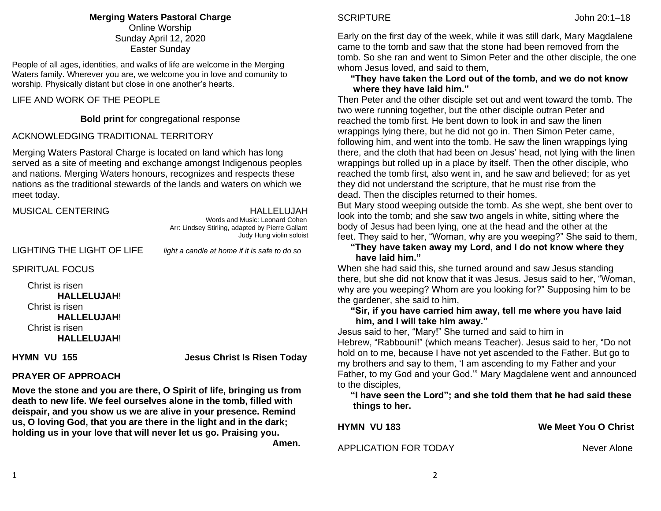# **Merging Waters Pastoral Charge**

Online Worship Sunday April 12, 2020 Easter Sunday

People of all ages, identities, and walks of life are welcome in the Merging Waters family. Wherever you are, we welcome you in love and comunity to worship. Physically distant but close in one another's hearts.

### LIFE AND WORK OF THE PEOPLE

**Bold print** for congregational response

### ACKNOWLEDGING TRADITIONAL TERRITORY

Merging Waters Pastoral Charge is located on land which has long served as a site of meeting and exchange amongst Indigenous peoples and nations. Merging Waters honours, recognizes and respects these nations as the traditional stewards of the lands and waters on which we meet today.

| <b>MUSICAL CENTERING</b>   | HALLELUJAH<br>Words and Music: Leonard Cohen<br>Arr: Lindsey Stirling, adapted by Pierre Gallant<br>Judy Hung violin soloist |
|----------------------------|------------------------------------------------------------------------------------------------------------------------------|
| LIGHTING THE LIGHT OF LIFE | light a candle at home if it is safe to do so                                                                                |
| <b>SPIRITUAL FOCUS</b>     |                                                                                                                              |
| Christ is risen            |                                                                                                                              |

 **HALLELUJAH**! Christ is risen **HALLELUJAH**! Christ is risen **HALLELUJAH**!

**HYMN VU 155 Jesus Christ Is Risen Today** 

# **PRAYER OF APPROACH**

**Move the stone and you are there, O Spirit of life, bringing us from death to new life. We feel ourselves alone in the tomb, filled with deispair, and you show us we are alive in your presence. Remind us, O loving God, that you are there in the light and in the dark; holding us in your love that will never let us go. Praising you.**  *Amen.* **Amen.** 

# SCRIPTURE John 20:1–18

Early on the first day of the week, while it was still dark, Mary Magdalene came to the tomb and saw that the stone had been removed from the tomb. So she ran and went to Simon Peter and the other disciple, the one whom Jesus loved, and said to them,

### **"They have taken the Lord out of the tomb, and we do not know where they have laid him."**

Then Peter and the other disciple set out and went toward the tomb. The two were running together, but the other disciple outran Peter and reached the tomb first. He bent down to look in and saw the linen wrappings lying there, but he did not go in. Then Simon Peter came, following him, and went into the tomb. He saw the linen wrappings lying there, and the cloth that had been on Jesus' head, not lying with the linen wrappings but rolled up in a place by itself. Then the other disciple, who reached the tomb first, also went in, and he saw and believed; for as yet they did not understand the scripture, that he must rise from the dead. Then the disciples returned to their homes.

But Mary stood weeping outside the tomb. As she wept, she bent over to look into the tomb; and she saw two angels in white, sitting where the body of Jesus had been lying, one at the head and the other at the feet. They said to her, "Woman, why are you weeping?" She said to them,

 **"They have taken away my Lord, and I do not know where they have laid him."**

When she had said this, she turned around and saw Jesus standing there, but she did not know that it was Jesus. Jesus said to her, "Woman, why are you weeping? Whom are you looking for?" Supposing him to be the gardener, she said to him,

### **"Sir, if you have carried him away, tell me where you have laid him, and I will take him away."**

Jesus said to her, "Mary!" She turned and said to him in Hebrew, "Rabbouni!" (which means Teacher). Jesus said to her, "Do not hold on to me, because I have not yet ascended to the Father. But go to my brothers and say to them, 'I am ascending to my Father and your Father, to my God and your God.'" Mary Magdalene went and announced to the disciples,

 **"I have seen the Lord"; and she told them that he had said these things to her.**

APPLICATION FOR TODAY NEVERTHALL ARE NEVER ALONE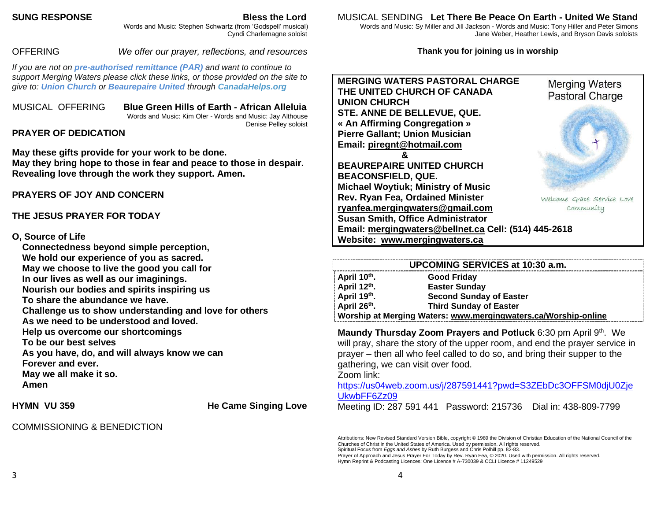### **SUNG RESPONSE Bless the Lord**

 Words and Music: Stephen Schwartz (from 'Godspell' musical) Cyndi Charlemagne soloist

# OFFERING *We offer our prayer, reflections, and resources*

*If you are not on pre-authorised [remittance \(PAR\)](http://mergingwaters.ca/mt-content/uploads/2020/03/form_par-authorization.pdf) and want to continue to support Merging Waters please click these links, or those provided on the site to give to: [Union Church](https://www.canadahelps.org/en/charities/union-church-ste-anne-de-bellevue/) or [Beaurepaire United](https://www.canadahelps.org/en/charities/beaurepaire-united-church/) through [CanadaHelps.org](http://www.canadahelps.org/)* 

MUSICAL OFFERING **Blue Green Hills of Earth - African Alleluia** Words and Music: Kim Oler - Words and Music: Jay Althouse Denise Pelley soloist

# **PRAYER OF DEDICATION**

**May these gifts provide for your work to be done. May they bring hope to those in fear and peace to those in despair. Revealing love through the work they support. Amen.**

**PRAYERS OF JOY AND CONCERN**

# **THE JESUS PRAYER FOR TODAY**

### **O, Source of Life**

**Connectedness beyond simple perception, We hold our experience of you as sacred. May we choose to live the good you call for In our lives as well as our imaginings. Nourish our bodies and spirits inspiring us To share the abundance we have. Challenge us to show understanding and love for others As we need to be understood and loved. Help us overcome our shortcomings To be our best selves As you have, do, and will always know we can Forever and ever. May we all make it so. Amen**

**HYMN VU 359 He Came Singing Love** 

COMMISSIONING & BENEDICTION

### MUSICAL SENDING **Let There Be Peace On Earth - United We Stand**

 Words and Music: Sy Miller and Jill Jackson - Words and Music: Tony Hiller and Peter Simons Jane Weber, Heather Lewis, and Bryson Davis soloists

### **Thank you for joining us in worship**



| UPCOMING SERVICES at 10:30 a.m. |                                                                |
|---------------------------------|----------------------------------------------------------------|
| April 10th.                     | Good Friday                                                    |
| April 12th.                     | <b>Easter Sunday</b>                                           |
| April 19th.                     | <b>Second Sunday of Easter</b>                                 |
| April 26th.                     | <b>Third Sunday of Easter</b>                                  |
|                                 | Worship at Merging Waters: www.mergingwaters.ca/Worship-online |

**Maundy Thursday Zoom Prayers and Potluck** 6:30 pm April 9<sup>th</sup>. We will pray, share the story of the upper room, and end the prayer service in prayer – then all who feel called to do so, and bring their supper to the gathering, we can visit over food. Zoom link:

[https://us04web.zoom.us/j/287591441?pwd=S3ZEbDc3OFFSM0djU0Zje](https://us04web.zoom.us/j/287591441?pwd=S3ZEbDc3OFFSM0djU0ZjeUkwbFF6Zz09) [UkwbFF6Zz09](https://us04web.zoom.us/j/287591441?pwd=S3ZEbDc3OFFSM0djU0ZjeUkwbFF6Zz09)

Meeting ID: 287 591 441 Password: 215736 Dial in: 438-809-7799

Attributions: New Revised Standard Version Bible, copyright © 1989 the Division of Christian Education of the National Council of the Churches of Christ in the United States of America. Used by permission. All rights reserved.

Spiritual Focus from *Eggs and Ashes* by Ruth Burgess and Chris Polhill pp. 82-83.

Prayer of Approach and Jesus Prayer For Today by Rev. Ryan Fea, © 2020. Used with permission. All rights reserved. Hymn Reprint & Podcasting Licences: One Licence # A-730039 & CCLI Licence # 11249529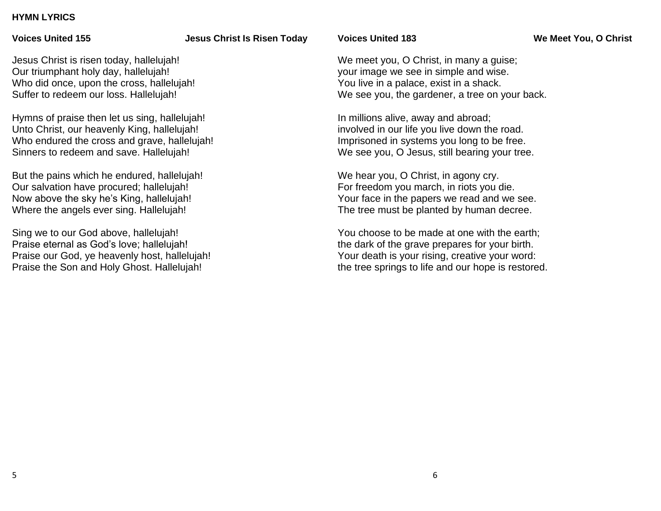### **HYMN LYRICS**

### **Voices United 155 Jesus Christ Is Risen Today**

**Voices United 183 We Meet You, O Christ**

Jesus Christ is risen today, hallelujah! Our triumphant holy day, hallelujah! Who did once, upon the cross, hallelujah! Suffer to redeem our loss. Hallelujah!

Hymns of praise then let us sing, hallelujah! Unto Christ, our heavenly King, hallelujah! Who endured the cross and grave, hallelujah! Sinners to redeem and save. Hallelujah!

But the pains which he endured, hallelujah! Our salvation have procured; hallelujah! Now above the sky he's King, hallelujah! Where the angels ever sing. Hallelujah!

Sing we to our God above, hallelujah! Praise eternal as God's love; hallelujah! Praise our God, ye heavenly host, hallelujah! Praise the Son and Holy Ghost. Hallelujah!

We meet you, O Christ, in many a guise; your image we see in simple and wise. You live in a palace, exist in a shack. We see you, the gardener, a tree on your back.

In millions alive, away and abroad; involved in our life you live down the road. Imprisoned in systems you long to be free. We see you, O Jesus, still bearing your tree.

We hear you, O Christ, in agony cry. For freedom you march, in riots you die. Your face in the papers we read and we see. The tree must be planted by human decree.

You choose to be made at one with the earth; the dark of the grave prepares for your birth. Your death is your rising, creative your word: the tree springs to life and our hope is restored.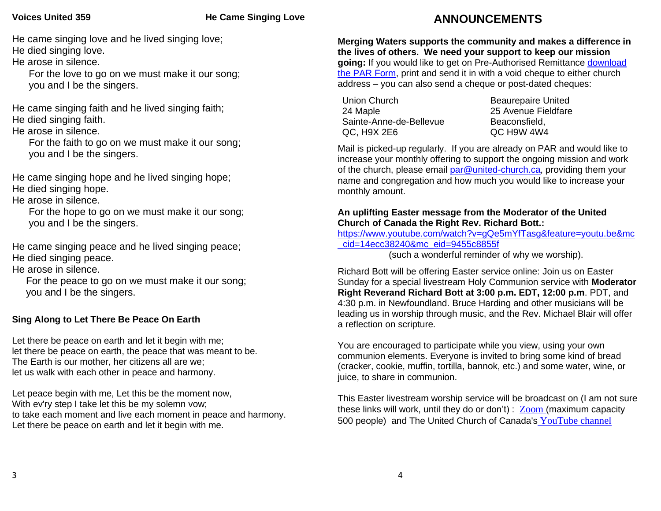### **Voices United 359 He Came Singing Love**

He came singing love and he lived singing love; He died singing love.

He arose in silence.

 For the love to go on we must make it our song; you and I be the singers.

He came singing faith and he lived singing faith; He died singing faith.

He arose in silence.

 For the faith to go on we must make it our song; you and I be the singers.

He came singing hope and he lived singing hope; He died singing hope.

He arose in silence.

 For the hope to go on we must make it our song; you and I be the singers.

He came singing peace and he lived singing peace; He died singing peace.

He arose in silence.

 For the peace to go on we must make it our song; you and I be the singers.

# **Sing Along to Let There Be Peace On Earth**

Let there be peace on earth and let it begin with me; let there be peace on earth, the peace that was meant to be. The Earth is our mother, her citizens all are we; let us walk with each other in peace and harmony.

Let peace begin with me, Let this be the moment now, With ev'ry step I take let this be my solemn vow; to take each moment and live each moment in peace and harmony. Let there be peace on earth and let it begin with me.

# **ANNOUNCEMENTS**

**Merging Waters supports the community and makes a difference in the lives of others. We need your support to keep our mission going:** If you would like to get on Pre-Authorised Remittance [download](http://mergingwaters.ca/mt-content/uploads/2020/03/form_par-authorization.pdf)  [the PAR Form,](http://mergingwaters.ca/mt-content/uploads/2020/03/form_par-authorization.pdf) print and send it in with a void cheque to either church address – you can also send a cheque or post-dated cheques:

Union Church 24 Maple Sainte-Anne-de-Bellevue QC, H9X 2E6

Beaurepaire United 25 Avenue Fieldfare Beaconsfield, QC H9W 4W4

Mail is picked-up regularly. If you are already on PAR and would like to increase your monthly offering to support the ongoing mission and work of the church, please email [par@united-church.ca](mailto:par@united-church.ca), providing them your name and congregation and how much you would like to increase your monthly amount.

### **An uplifting Easter message from the Moderator of the United Church of Canada the Right Rev. Richard Bott.:**

[https://www.youtube.com/watch?v=gQe5mYfTasg&feature=youtu.be&mc](https://www.youtube.com/watch?v=gQe5mYfTasg&feature=youtu.be&mc_cid=14ecc38240&mc_eid=9455c8855f) [\\_cid=14ecc38240&mc\\_eid=9455c8855f](https://www.youtube.com/watch?v=gQe5mYfTasg&feature=youtu.be&mc_cid=14ecc38240&mc_eid=9455c8855f) 

(such a wonderful reminder of why we worship).

Richard Bott will be offering Easter service online: Join us on Easter Sunday for a special livestream Holy Communion service with **Moderator Right Reverand Richard Bott at 3:00 p.m. EDT, 12:00 p.m**. PDT, and 4:30 p.m. in Newfoundland. Bruce Harding and other musicians will be leading us in worship through music, and the Rev. Michael Blair will offer a reflection on scripture.

You are encouraged to participate while you view, using your own communion elements. Everyone is invited to bring some kind of bread (cracker, cookie, muffin, tortilla, bannok, etc.) and some water, wine, or juice, to share in communion.

This Easter livestream worship service will be broadcast on (I am not sure these links will work, until they do or don't) :  $\mathsf{Zoom}$  $\mathsf{Zoom}$  $\mathsf{Zoom}$  (maximum capacity 500 people) and The United Church of Canada's [YouTube channel](https://united-church.us3.list-manage.com/track/click?u=ff2087d5fde243a770ed893a8&id=7e23be4051&e=9455c8855f)